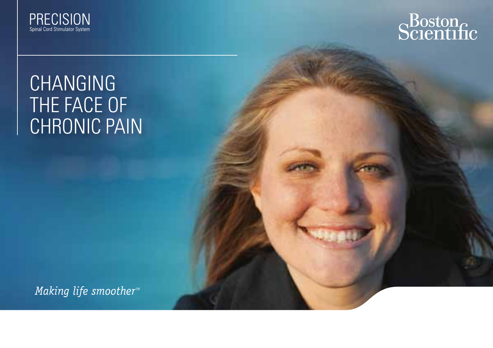



## **CHANGING** THE FACE OF CHRONIC PAIN

*Making life smoother<sup>™</sup>*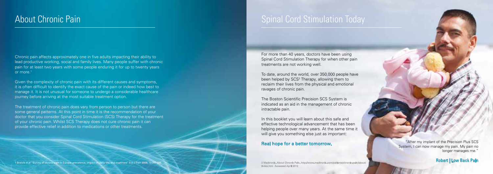Chronic pain affects approximately one in five adults impacting their ability to lead productive working, social and family lives. Many people suffer with chronic pain for at least two years with some people enduring it for up to twenty years or more.<sup>1</sup>

Given the complexity of chronic pain with its different causes and symptoms, it is often difficult to identify the exact cause of the pain or indeed how best to manage it. It is not unusual for someone to undergo a considerable healthcare journey before arriving at the most suitable treatment option.

The treatment of chronic pain does vary from person to person but there are some general patterns. At this point in time it is the recommendation of your doctor that you consider Spinal Cord Stimulation (SCS) Therapy for the treatment of your chronic pain. Whilst SCS Therapy does not cure chronic pain it can provide effective relief in addition to medications or other treatments.

1 Breivik et al "Survey of chronic pain in Europe: prevalence, impact on daily life, and treatment" Eur J Pain 2006; 10:287-33

### About Chronic Pain **About Chronic Pain** Spinal Cord Stimulation Today

For more than 40 years, doctors have been using Spinal Cord Stimulation Therapy for when other pain treatments are not working well.

To date, around the world, over 350,000 people have been helped by SCS<sup>2</sup> Therapy, allowing them to reclaim their lives from the physical and emotional ravages of chronic pain.

The Boston Scientific Precision SCS System is indicated as an aid in the management of chronic intractable pain.

In this booklet you will learn about this safe and effective technological advancement that has been helping people over many years. At the same time it will give you something else just as important:

#### Real hope for a better tomorrow.

2 Medtronic. About Chronic Pain. http://www.medtronic.com/patients/chronic-pain/about/<br>index.htm Accessed April 2012

"After my implant of the Precision Plus SCS System, I can now manage my pain. My pain no longer manages me."

#### Robert | Low Back Pain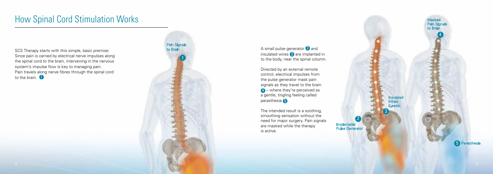A small pulse generator  $\bullet$  and insulated wires 3 are implanted in to the body, near the spinal column.

Directed by an external remote control, electrical impulses from the pulse generator mask pain signals as they travel to the brain 4 – where they're perceived as a gentle, tingling feeling called parasthesia **6** 

The intended result is a soothing, smoothing sensation without the need for major surgery. Pain signals are masked while the therapy is active.

## How Spinal Cord Stimulation Works

SCS Therapy starts with this simple, basic premise: Since pain is carried by electrical nerve impulses along the spinal cord to the brain, intervening in the nervous system's impulse flow is key to managing pain. Pain travels along nerve fibres through the spinal cord to the brain. **1** 

1 **Pain Signals** to Brain

4

Masked Pain Signals to Brain



2 Implantable Pulse Generator

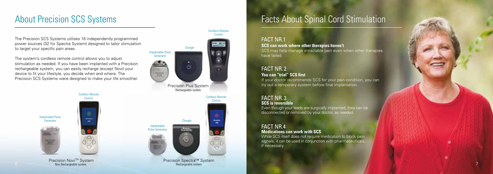### About Precision SCS Systems

#### FACT NR.1

**SCS can work where other therapies haven't**  SCS may help manage intractable pain even when other therapies have failed.

If your doctor recommends SCS for your pain condition, you can try out a temporary system before final implantation.

#### FACT NR. 2 **You can "trial" SCS first**

#### FACT NR. 3 **SCS is reversible**

Even though your leads are surgically implanted, they can be disconnected or removed by your doctor, as needed.

Precision Spectra™ System Rechargeable system

#### FACT NR.4 **Medications can work with SCS**

While SCS itself does not require medication to block pain signals, it can be used in conjunction with pharmaceuticals, if necessary.

## Facts About Spinal Cord Stimulation

**Precision Novi™ System** Non-Rechargeable system



Cordless Remote

Cordless Remote **Control** Implantable Pulse Generator

The Precision SCS Systems utilises 16 independently programmed power sources (32 for Spectra System) designed to tailor stimulation to target your specific pain areas.

The system's cordless remote control allows you to adjust stimulation as needed. If you have been implanted with a Precision rechargeable system, you can easily recharge (except Novi) your device to fit your lifestyle, you decide when and where. The Precision SCS Systems were designed to make your life smoother.

7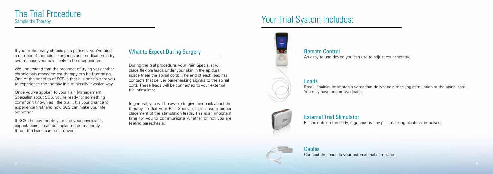# The Trial Procedure<br>Sample the Therapy

## Your Trial System Includes:

If you're like many chronic pain patients, you've tried a number of therapies, surgeries and medication to try and manage your pain– only to be disappointed.

We understand that the prospect of trying yet another chronic pain management therapy can be frustrating. One of the benefits of SCS is that it is possible for you to experience the therapy in a minimally invasive way.

Once you've spoken to your Pain Management Specialist about SCS, you're ready for something commonly known as "the trial". It's your chance to experience firsthand how SCS can make your life smoother.

If SCS Therapy meets your and your physician's expectations, it can be implanted permanently. If not, the leads can be removed.

Remote Control An easy-to-use device you can use to adjust your therapy.

#### Leads

Small, flexible, implantable wires that deliver pain-masking stimulation to the spinal cord. You may have one or two leads.



External Trial Stimulator Placed outside the body, it generates tiny pain-masking electrical impulses.



Cables Connect the leads to your external trial stimulator.

#### What to Expect During Surgery

During the trial procedure, your Pain Specialist will place flexible leads under your skin in the epidural space (near the spinal cord). The end of each lead has contacts that deliver pain-masking signals to the spinal cord. These leads will be connected to your external trial stimulator.

In general, you will be awake to give feedback about the therapy so that your Pain Specialist can ensure proper placement of the stimulation leads. This is an important time for you to communicate whether or not you are feeling paresthesia.

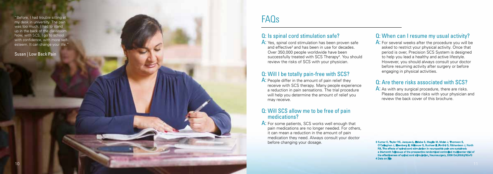#### Q: Is spinal cord stimulation safe?

A: Yes, spinal cord stimulation has been proven safe and effective<sup>3</sup> and has been in use for decades. Over 350,000 people worldwide have been successfully treated with SCS Therapy<sup>4</sup>. You should review the risks of SCS with your physician.

A: People differ in the amount of pain relief they receive with SCS therapy. Many people experience a reduction in pain sensations. The trial procedure will help you determine the amount of relief you may receive.

#### Q: Will I be totally pain-free with SCS?

A: For some patients, SCS works well enough that pain medications are no longer needed. For others, it can mean a reduction in the amount of pain medication they need. Always consult your doctor before changing your dosage.

#### Q: Will SCS allow me to be free of pain medications?

A: For several weeks after the procedure you will be asked to restrict your physical activity. Once that period is over, Precision SCS System is designed to help you lead a healthy and active lifestyle. However, you should always consult your doctor before resuming activity after surgery or before engaging in physical activities.

A: As with any surgical procedure, there are risks. Please discuss these risks with your physician and review the back cover of this brochure.

### Q: When can I resume my usual activity?

#### Q: Are there risks associated with SCS?

### F AQs

3 Kumar K, Taylor RS, Jacques L, Eldabe S, Meglio M, Molet J, Thomson S, O'Callaghan J, Eisenberg E, Milbouw G, Buchser E, Fortini G, I fects of spinal cord stimulation in neuropath a 24-month follow-up of the prospective randomized controlled multicenter trial of the effectiveness of spinal cord stimulation. Neurosurgery. 2008 Oct;63(4):762-70 4 Data on File

"Before, I had trouble sitting at my desk in university. The pain was too much. I had to stand up in the back of the classroom. Now, with SCS, I go to school with confidence, with more selfesteem. It can change your life."

Susan | Low Back Pain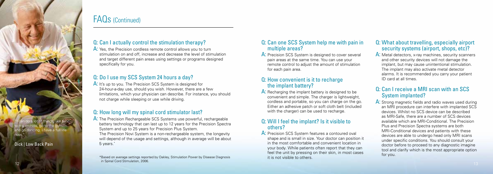#### Q: Can I actually control the stimulation therapy?

A: Yes, the Precision cordless remote control allows you to turn stimulation on and off, increase and decrease the level of stimulation and target different pain areas using settings or programs designed specifically for you.

A: It's up to you. The Precision SCS System is designed for 24-hour-a-day use, should you wish. However, there are a few limitations, which your physician can describe. For instance, you should not charge while sleeping or use while driving.

### Q: Do I use my SCS System 24 hours a day?

A: The Precision Rechargeable SCS Systems use powerful, rechargeable battery technology that can last up to 12 years for the Precision Spectra System and up to 25 years for Precision Plus System.

The Precision Novi System is a non-rechargeable system, the longevity will depend of the usage and settings, although in average will be about 5 years.

### Q: How long will my spinal cord stimulator last?

A: Precision SCS System is designed to cover several pain areas at the same time. You can use your remote control to adjust the amount of stimulation for each pain area.

A: Recharging the implant battery is designed to be convenient and simple. The charger is lightweight, cordless and portable, so you can charge on the go. Either an adhesive patch or soft cloth belt (included with the charger) can be used to recharge.

A: Precision SCS System features a contoured oval shape and is small in size. Your doctor can position it in the most comfortable and convenient location in your body. While patients often report that they can feel the unit by pressing on their skin, in most cases it is not visible to others.

#### Q: What about travelling, especially airport security systems (airport, shops, etc)?

#### Q: Can one SCS System help me with pain in multiple areas?

A: Metal detectors, x-ray machines, security scanners and other security devices will not damage the implant, but may cause unintentional stimulation. The implant may also activate metal detector alarms. It is recommended you carry your patient ID card at all times.

#### Q: How convenient is it to recharge the implant battery?

A: Strong magnetic fields and radio waves used during an MRI procedure can interfere with implanted SCS devices. Whilst no SCS device can be described as MRI-Safe, there are a number of SCS devices available which are MRI-Conditional. The Precision Plus and Precision Spectra systems are both MRI-Conditional devices and patients with these devices are able to undergo head only MRI scans under specific conditions. You should consult your doctor before to proceed to any diagnostic imagine tool and clarify which is the most appropriate option for you.

\*Based on average settings reported by Oakley, Stimulation Power by Disease Diagnosis in Spinal Cord Stimulation, 2006. 2006. The context of the Spinal Cord Stimulation, 2006. 2006.

#### Q: Will I feel the implant? Is it visible to others?

#### Q: Can I receive a MRI scan with an SCS System implanted?

### FAQs (Continued)

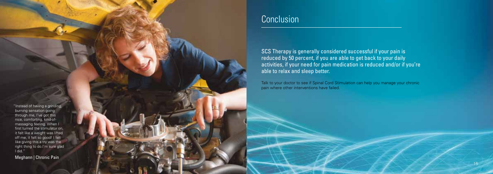SCS Therapy is generally considered successful if your pain is reduced by 50 percent, if you are able to get back to your daily activities, if your need for pain medication is reduced and/or if you're able to relax and sleep better.

Talk to your doctor to see if Spinal Cord Stimulation can help you manage your chronic pain where other interventions have failed.

"Instead of having a grinding, burning sensation going through me, I've got this nice, comforting, kind-ofmassaging feeling. When I first turned the stimulator on, it felt like a weight was lifted off me, it felt so good! I felt like giving this a try was the right thing to do.I'm sure glad I did."

Meghann | Chronic Pain

### **Conclusion**